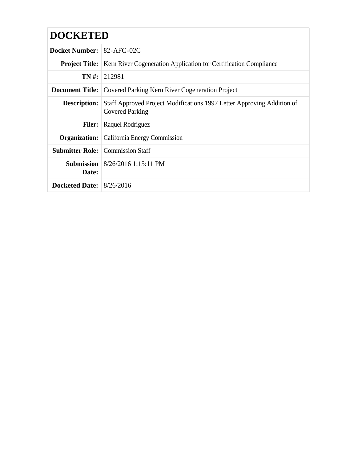| <b>DOCKETED</b>                  |                                                                                                  |  |  |  |
|----------------------------------|--------------------------------------------------------------------------------------------------|--|--|--|
| <b>Docket Number: 82-AFC-02C</b> |                                                                                                  |  |  |  |
|                                  | <b>Project Title:</b> Kern River Cogeneration Application for Certification Compliance           |  |  |  |
|                                  | $TN \#: 212981$                                                                                  |  |  |  |
|                                  | <b>Document Title:</b> Covered Parking Kern River Cogeneration Project                           |  |  |  |
| <b>Description:</b>              | Staff Approved Project Modifications 1997 Letter Approving Addition of<br><b>Covered Parking</b> |  |  |  |
|                                  | <b>Filer:</b> Raquel Rodriguez                                                                   |  |  |  |
|                                  | <b>Organization:</b>   California Energy Commission                                              |  |  |  |
|                                  | <b>Submitter Role:</b> Commission Staff                                                          |  |  |  |
| Date:                            | <b>Submission</b>   8/26/2016 1:15:11 PM                                                         |  |  |  |
| Docketed Date: $8/26/2016$       |                                                                                                  |  |  |  |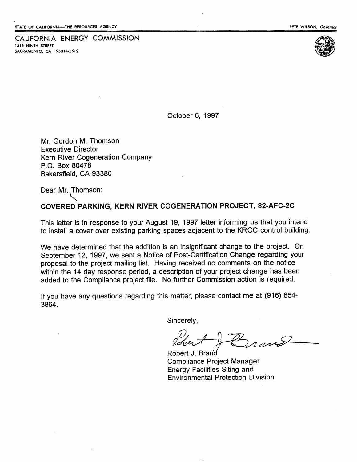CALIFORNIA ENERGY COMMISSION 1S16 NINTH STREET SACRAMENTO, CA 95814-5512



October 6, 1997

Mr. Gordon M. Thomson Executive Director Kern River Cogeneration Company P.O. Box 80478 Bakersfield, CA 93380

Dear Mr. Thomson:

~. COVERED PARKING, KERN RIVER COGENERATION PROJECT, 82-AFC-2C

This letter is in response to your August 19, 1997 letter informing us that you intend to install a cover over existing parking spaces adjacent to the KRCC control building.

We have determined that the addition is an insignificant change to the project. On September 12, 1997, we sent a Notice of Post-Certification Change regarding your proposal to the project mailing list. Having received no comments on the notice within the 14 day response period, a description of your project change has been added to the Compliance project file. No further Commission action is required.

If you have any questions regarding this matter, please contact me at (916) 654- 3864.

Sincerely,

 $R^2+R^2$ 

Robert J. Brand Compliance Project Manager Energy Facilities Siting and Environmental Protection Division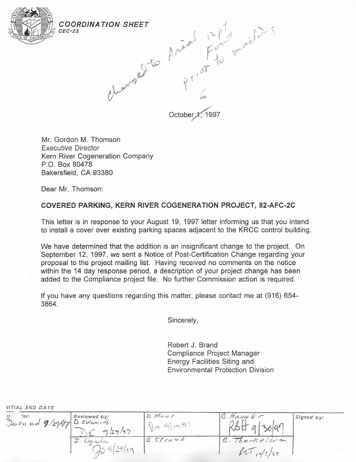

CEC-23



Mr. Gordon M. Thomson Executive Director Kern River Cogeneration Company P.O. Box 80478 Bakersfield, CA 93380

Dear Mr. Thomson:

## **COVERED PARKING, KERN RIVER COGENERATION PROJECT, 82-AFC-2C**

This letter is in response to your August 19, 1997 letter informing us that you intend to install a cover over existing parking spaces adjacent to the KRCC control building.

We have determined that the addition is an insignificant change to the project. On September 12, 1997, we sent a Notice of Post-Certification Change regarding your .proposal to the project mailing list. Having received no comments on the notice within the 14 day response period, a description of your project change has been added to the Compliance project file. No further Commission action is required.

If you have any questions regarding this matter, please contact me at (916) 654- 3864.

Sincerely,

Robert J. Brand Compliance Project Manager Energy Facilities Siting and Environmental Protection Division

| $:$ or:<br>ion: 101: 101: 10 Edwards | Reviewed by:<br>9/29/97          | DMan/<br>$91 - 98$<br>$M_{\perp}$ | $H$ auscle $\tau$<br>$\delta$  ar | Signed by: |
|--------------------------------------|----------------------------------|-----------------------------------|-----------------------------------|------------|
|                                      | $Oq$ action<br>ا ب<br>$\sqrt{2}$ | B. Sifrand                        | Therkelsen<br>ln 1<br>10/7/97     |            |